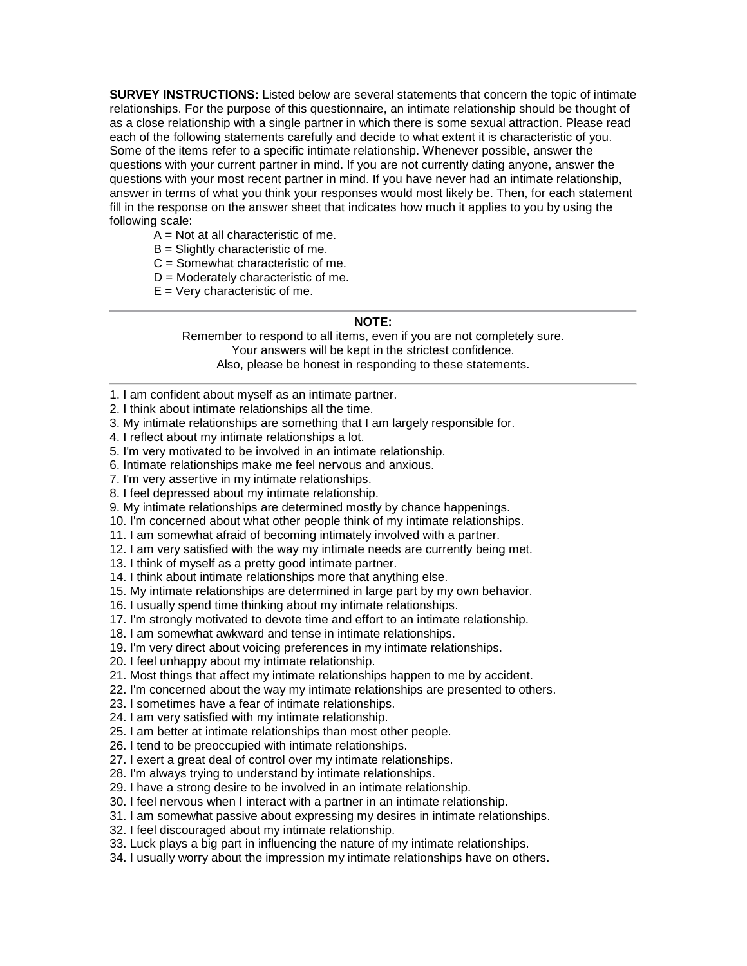**SURVEY INSTRUCTIONS:** Listed below are several statements that concern the topic of intimate relationships. For the purpose of this questionnaire, an intimate relationship should be thought of as a close relationship with a single partner in which there is some sexual attraction. Please read each of the following statements carefully and decide to what extent it is characteristic of you. Some of the items refer to a specific intimate relationship. Whenever possible, answer the questions with your current partner in mind. If you are not currently dating anyone, answer the questions with your most recent partner in mind. If you have never had an intimate relationship, answer in terms of what you think your responses would most likely be. Then, for each statement fill in the response on the answer sheet that indicates how much it applies to you by using the following scale:

- $A = Not$  at all characteristic of me.
- $B =$  Slightly characteristic of me.
- $C =$  Somewhat characteristic of me.
- $D =$  Moderately characteristic of me.
- $E = V$ ery characteristic of me.

#### **NOTE:**

Remember to respond to all items, even if you are not completely sure. Your answers will be kept in the strictest confidence. Also, please be honest in responding to these statements.

- 1. I am confident about myself as an intimate partner.
- 2. I think about intimate relationships all the time.
- 3. My intimate relationships are something that I am largely responsible for.
- 4. I reflect about my intimate relationships a lot.
- 5. I'm very motivated to be involved in an intimate relationship.
- 6. Intimate relationships make me feel nervous and anxious.
- 7. I'm very assertive in my intimate relationships.
- 8. I feel depressed about my intimate relationship.
- 9. My intimate relationships are determined mostly by chance happenings.
- 10. I'm concerned about what other people think of my intimate relationships.
- 11. I am somewhat afraid of becoming intimately involved with a partner.
- 12. I am very satisfied with the way my intimate needs are currently being met.
- 13. I think of myself as a pretty good intimate partner.
- 14. I think about intimate relationships more that anything else.
- 15. My intimate relationships are determined in large part by my own behavior.
- 16. I usually spend time thinking about my intimate relationships.
- 17. I'm strongly motivated to devote time and effort to an intimate relationship.
- 18. I am somewhat awkward and tense in intimate relationships.
- 19. I'm very direct about voicing preferences in my intimate relationships.
- 20. I feel unhappy about my intimate relationship.
- 21. Most things that affect my intimate relationships happen to me by accident.
- 22. I'm concerned about the way my intimate relationships are presented to others.
- 23. I sometimes have a fear of intimate relationships.
- 24. I am very satisfied with my intimate relationship.
- 25. I am better at intimate relationships than most other people.
- 26. I tend to be preoccupied with intimate relationships.
- 27. I exert a great deal of control over my intimate relationships.
- 28. I'm always trying to understand by intimate relationships.
- 29. I have a strong desire to be involved in an intimate relationship.
- 30. I feel nervous when I interact with a partner in an intimate relationship.
- 31. I am somewhat passive about expressing my desires in intimate relationships.
- 32. I feel discouraged about my intimate relationship.
- 33. Luck plays a big part in influencing the nature of my intimate relationships.
- 34. I usually worry about the impression my intimate relationships have on others.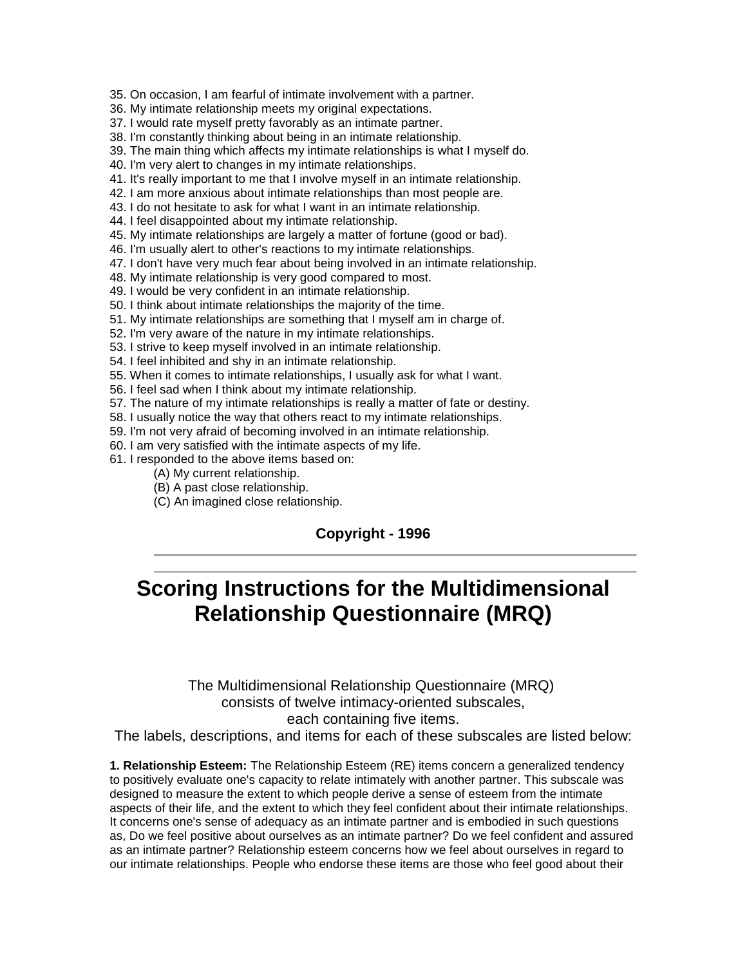- 35. On occasion, I am fearful of intimate involvement with a partner.
- 36. My intimate relationship meets my original expectations.
- 37. I would rate myself pretty favorably as an intimate partner.
- 38. I'm constantly thinking about being in an intimate relationship.
- 39. The main thing which affects my intimate relationships is what I myself do.
- 40. I'm very alert to changes in my intimate relationships.
- 41. It's really important to me that I involve myself in an intimate relationship.
- 42. I am more anxious about intimate relationships than most people are.
- 43. I do not hesitate to ask for what I want in an intimate relationship.
- 44. I feel disappointed about my intimate relationship.
- 45. My intimate relationships are largely a matter of fortune (good or bad).
- 46. I'm usually alert to other's reactions to my intimate relationships.
- 47. I don't have very much fear about being involved in an intimate relationship.
- 48. My intimate relationship is very good compared to most.
- 49. I would be very confident in an intimate relationship.
- 50. I think about intimate relationships the majority of the time.
- 51. My intimate relationships are something that I myself am in charge of.
- 52. I'm very aware of the nature in my intimate relationships.
- 53. I strive to keep myself involved in an intimate relationship.
- 54. I feel inhibited and shy in an intimate relationship.
- 55. When it comes to intimate relationships, I usually ask for what I want.
- 56. I feel sad when I think about my intimate relationship.
- 57. The nature of my intimate relationships is really a matter of fate or destiny.
- 58. I usually notice the way that others react to my intimate relationships.
- 59. I'm not very afraid of becoming involved in an intimate relationship.
- 60. I am very satisfied with the intimate aspects of my life.
- 61. I responded to the above items based on:
	- (A) My current relationship.
	- (B) A past close relationship.
	- (C) An imagined close relationship.

## **Copyright - 1996**

# **Scoring Instructions for the Multidimensional Relationship Questionnaire (MRQ)**

## The Multidimensional Relationship Questionnaire (MRQ) consists of twelve intimacy-oriented subscales, each containing five items.

The labels, descriptions, and items for each of these subscales are listed below:

**1. Relationship Esteem:** The Relationship Esteem (RE) items concern a generalized tendency to positively evaluate one's capacity to relate intimately with another partner. This subscale was designed to measure the extent to which people derive a sense of esteem from the intimate aspects of their life, and the extent to which they feel confident about their intimate relationships. It concerns one's sense of adequacy as an intimate partner and is embodied in such questions as, Do we feel positive about ourselves as an intimate partner? Do we feel confident and assured as an intimate partner? Relationship esteem concerns how we feel about ourselves in regard to our intimate relationships. People who endorse these items are those who feel good about their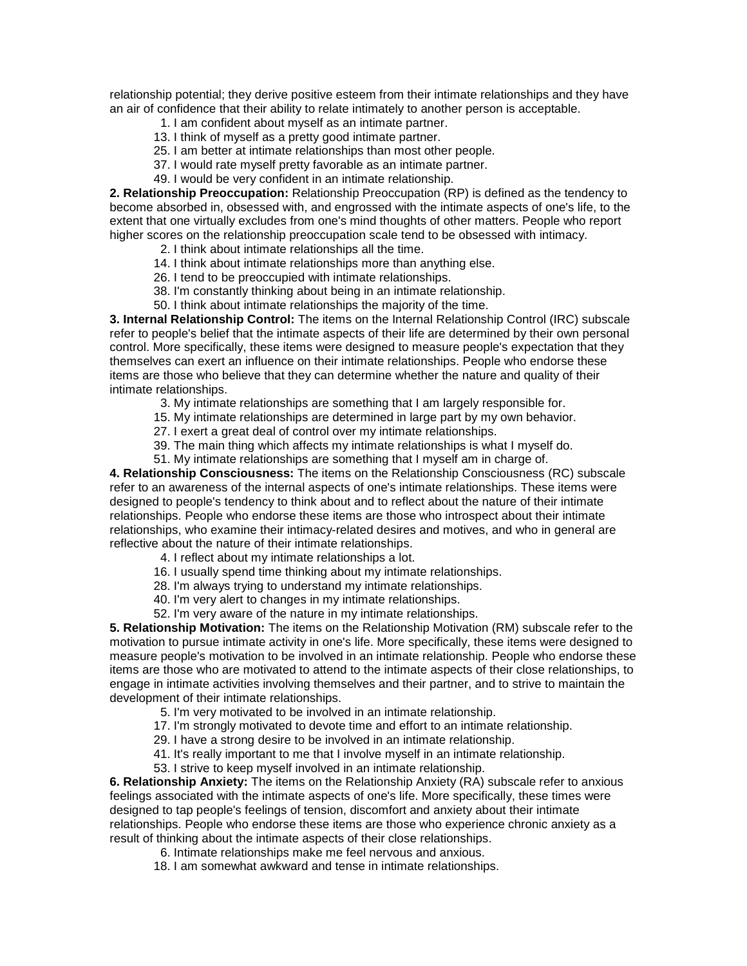relationship potential; they derive positive esteem from their intimate relationships and they have an air of confidence that their ability to relate intimately to another person is acceptable.

- 1. I am confident about myself as an intimate partner.
- 13. I think of myself as a pretty good intimate partner.
- 25. I am better at intimate relationships than most other people.
- 37. I would rate myself pretty favorable as an intimate partner.
- 49. I would be very confident in an intimate relationship.

**2. Relationship Preoccupation:** Relationship Preoccupation (RP) is defined as the tendency to become absorbed in, obsessed with, and engrossed with the intimate aspects of one's life, to the extent that one virtually excludes from one's mind thoughts of other matters. People who report higher scores on the relationship preoccupation scale tend to be obsessed with intimacy.

- 2. I think about intimate relationships all the time.
- 14. I think about intimate relationships more than anything else.
- 26. I tend to be preoccupied with intimate relationships.
- 38. I'm constantly thinking about being in an intimate relationship.
- 50. I think about intimate relationships the majority of the time.

**3. Internal Relationship Control:** The items on the Internal Relationship Control (IRC) subscale refer to people's belief that the intimate aspects of their life are determined by their own personal control. More specifically, these items were designed to measure people's expectation that they themselves can exert an influence on their intimate relationships. People who endorse these items are those who believe that they can determine whether the nature and quality of their intimate relationships.

- 3. My intimate relationships are something that I am largely responsible for.
- 15. My intimate relationships are determined in large part by my own behavior.
- 27. I exert a great deal of control over my intimate relationships.
- 39. The main thing which affects my intimate relationships is what I myself do.
- 51. My intimate relationships are something that I myself am in charge of.

**4. Relationship Consciousness:** The items on the Relationship Consciousness (RC) subscale refer to an awareness of the internal aspects of one's intimate relationships. These items were designed to people's tendency to think about and to reflect about the nature of their intimate relationships. People who endorse these items are those who introspect about their intimate relationships, who examine their intimacy-related desires and motives, and who in general are reflective about the nature of their intimate relationships.

- 4. I reflect about my intimate relationships a lot.
- 16. I usually spend time thinking about my intimate relationships.
- 28. I'm always trying to understand my intimate relationships.
- 40. I'm very alert to changes in my intimate relationships.
- 52. I'm very aware of the nature in my intimate relationships.

**5. Relationship Motivation:** The items on the Relationship Motivation (RM) subscale refer to the motivation to pursue intimate activity in one's life. More specifically, these items were designed to measure people's motivation to be involved in an intimate relationship. People who endorse these items are those who are motivated to attend to the intimate aspects of their close relationships, to engage in intimate activities involving themselves and their partner, and to strive to maintain the development of their intimate relationships.

- 5. I'm very motivated to be involved in an intimate relationship.
- 17. I'm strongly motivated to devote time and effort to an intimate relationship.
- 29. I have a strong desire to be involved in an intimate relationship.
- 41. It's really important to me that I involve myself in an intimate relationship.
- 53. I strive to keep myself involved in an intimate relationship.

**6. Relationship Anxiety:** The items on the Relationship Anxiety (RA) subscale refer to anxious feelings associated with the intimate aspects of one's life. More specifically, these times were designed to tap people's feelings of tension, discomfort and anxiety about their intimate relationships. People who endorse these items are those who experience chronic anxiety as a result of thinking about the intimate aspects of their close relationships.

- 6. Intimate relationships make me feel nervous and anxious.
- 18. I am somewhat awkward and tense in intimate relationships.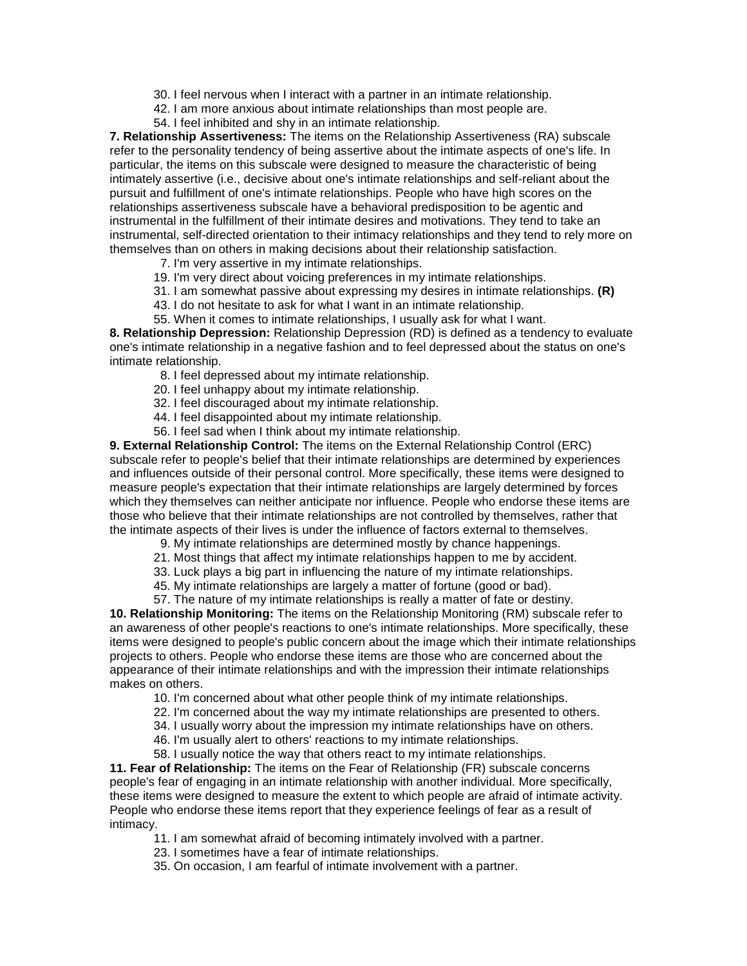- 30. I feel nervous when I interact with a partner in an intimate relationship.
- 42. I am more anxious about intimate relationships than most people are.
- 54. I feel inhibited and shy in an intimate relationship.

**7. Relationship Assertiveness:** The items on the Relationship Assertiveness (RA) subscale refer to the personality tendency of being assertive about the intimate aspects of one's life. In particular, the items on this subscale were designed to measure the characteristic of being intimately assertive (i.e., decisive about one's intimate relationships and self-reliant about the pursuit and fulfillment of one's intimate relationships. People who have high scores on the relationships assertiveness subscale have a behavioral predisposition to be agentic and instrumental in the fulfillment of their intimate desires and motivations. They tend to take an instrumental, self-directed orientation to their intimacy relationships and they tend to rely more on themselves than on others in making decisions about their relationship satisfaction.

- 7. I'm very assertive in my intimate relationships.
- 19. I'm very direct about voicing preferences in my intimate relationships.
- 31. I am somewhat passive about expressing my desires in intimate relationships. **(R)**
- 43. I do not hesitate to ask for what I want in an intimate relationship.
- 55. When it comes to intimate relationships, I usually ask for what I want.

**8. Relationship Depression:** Relationship Depression (RD) is defined as a tendency to evaluate one's intimate relationship in a negative fashion and to feel depressed about the status on one's intimate relationship.

- 8. I feel depressed about my intimate relationship.
- 20. I feel unhappy about my intimate relationship.
- 32. I feel discouraged about my intimate relationship.
- 44. I feel disappointed about my intimate relationship.
- 56. I feel sad when I think about my intimate relationship.

**9. External Relationship Control:** The items on the External Relationship Control (ERC) subscale refer to people's belief that their intimate relationships are determined by experiences and influences outside of their personal control. More specifically, these items were designed to measure people's expectation that their intimate relationships are largely determined by forces which they themselves can neither anticipate nor influence. People who endorse these items are those who believe that their intimate relationships are not controlled by themselves, rather that the intimate aspects of their lives is under the influence of factors external to themselves.

9. My intimate relationships are determined mostly by chance happenings.

- 21. Most things that affect my intimate relationships happen to me by accident.
- 33. Luck plays a big part in influencing the nature of my intimate relationships.
- 45. My intimate relationships are largely a matter of fortune (good or bad).
- 57. The nature of my intimate relationships is really a matter of fate or destiny.

**10. Relationship Monitoring:** The items on the Relationship Monitoring (RM) subscale refer to an awareness of other people's reactions to one's intimate relationships. More specifically, these items were designed to people's public concern about the image which their intimate relationships projects to others. People who endorse these items are those who are concerned about the appearance of their intimate relationships and with the impression their intimate relationships makes on others.

- 10. I'm concerned about what other people think of my intimate relationships.
- 22. I'm concerned about the way my intimate relationships are presented to others.
- 34. I usually worry about the impression my intimate relationships have on others.
- 46. I'm usually alert to others' reactions to my intimate relationships.
- 58. I usually notice the way that others react to my intimate relationships.

**11. Fear of Relationship:** The items on the Fear of Relationship (FR) subscale concerns people's fear of engaging in an intimate relationship with another individual. More specifically, these items were designed to measure the extent to which people are afraid of intimate activity. People who endorse these items report that they experience feelings of fear as a result of intimacy.

- 11. I am somewhat afraid of becoming intimately involved with a partner.
- 23. I sometimes have a fear of intimate relationships.
- 35. On occasion, I am fearful of intimate involvement with a partner.